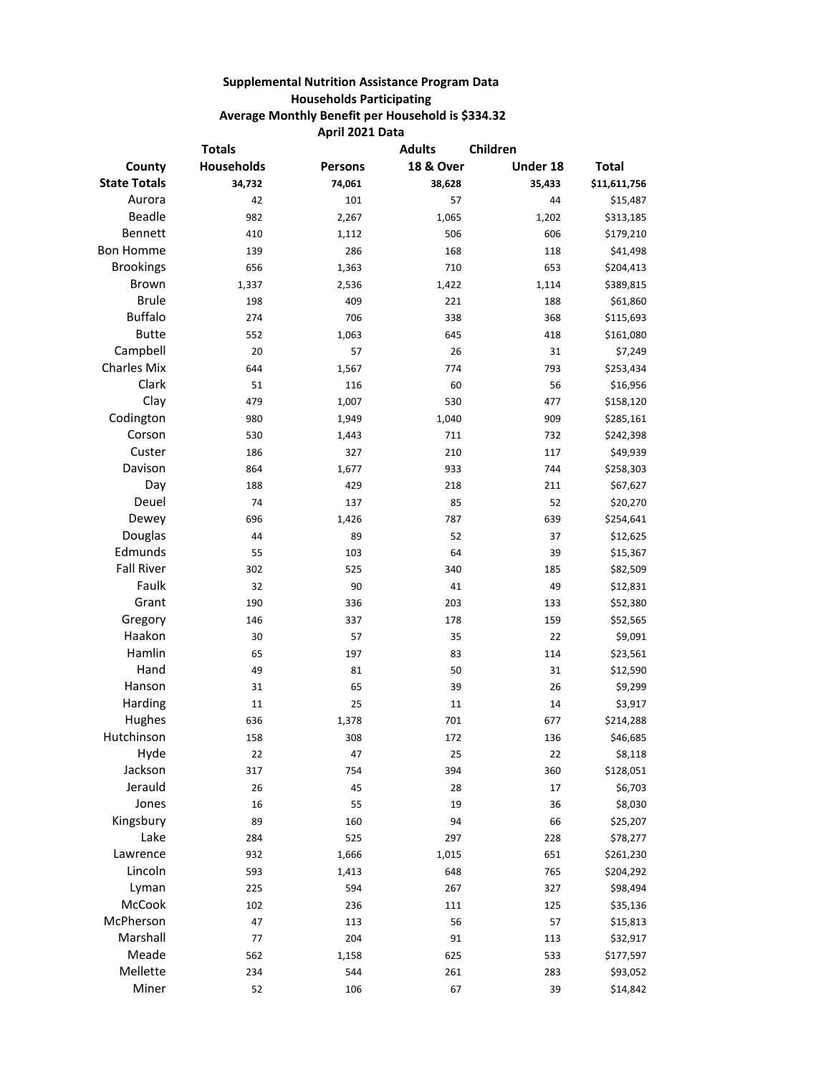## **Supplemental Nutrition Assistance Program Data Households Participating Average Monthly Benefit per Household is \$334.32 April 2021 Data**

| <b>Totals</b>       |                   |                | <b>Adults</b><br>Children |          |              |
|---------------------|-------------------|----------------|---------------------------|----------|--------------|
| County              | <b>Households</b> | <b>Persons</b> | <b>18 &amp; Over</b>      | Under 18 | <b>Total</b> |
| <b>State Totals</b> | 34,732            | 74,061         | 38,628                    | 35,433   | \$11,611,756 |
| Aurora              | 42                | 101            | 57                        | 44       | \$15,487     |
| Beadle              | 982               | 2,267          | 1,065                     | 1,202    | \$313,185    |
| Bennett             | 410               | 1,112          | 506                       | 606      | \$179,210    |
| <b>Bon Homme</b>    | 139               | 286            | 168                       | 118      | \$41,498     |
| <b>Brookings</b>    | 656               | 1,363          | 710                       | 653      | \$204,413    |
| Brown               | 1,337             | 2,536          | 1,422                     | 1,114    | \$389,815    |
| <b>Brule</b>        | 198               | 409            | 221                       | 188      | \$61,860     |
| <b>Buffalo</b>      | 274               | 706            | 338                       | 368      | \$115,693    |
| <b>Butte</b>        | 552               | 1,063          | 645                       | 418      | \$161,080    |
| Campbell            | 20                | 57             | 26                        | 31       | \$7,249      |
| <b>Charles Mix</b>  | 644               | 1,567          | 774                       | 793      | \$253,434    |
| Clark               | 51                | 116            | 60                        | 56       | \$16,956     |
| Clay                | 479               | 1,007          | 530                       | 477      | \$158,120    |
| Codington           | 980               | 1,949          | 1,040                     | 909      | \$285,161    |
| Corson              | 530               | 1,443          | 711                       | 732      | \$242,398    |
| Custer              | 186               | 327            | 210                       | 117      | \$49,939     |
| Davison             | 864               | 1,677          | 933                       | 744      | \$258,303    |
| Day                 | 188               | 429            | 218                       | 211      | \$67,627     |
| Deuel               | 74                | 137            | 85                        | 52       | \$20,270     |
| Dewey               | 696               | 1,426          | 787                       | 639      | \$254,641    |
| Douglas             | 44                | 89             | 52                        | 37       | \$12,625     |
| Edmunds             | 55                | 103            | 64                        | 39       | \$15,367     |
| <b>Fall River</b>   | 302               | 525            | 340                       | 185      | \$82,509     |
| Faulk               | 32                | 90             | 41                        | 49       | \$12,831     |
| Grant               | 190               | 336            | 203                       | 133      | \$52,380     |
| Gregory             | 146               | 337            | 178                       | 159      | \$52,565     |
| Haakon              | 30                | 57             | 35                        | 22       | \$9,091      |
| Hamlin              | 65                | 197            | 83                        | 114      | \$23,561     |
| Hand                | 49                | 81             | 50                        | 31       | \$12,590     |
| Hanson              | 31                | 65             | 39                        | 26       | \$9,299      |
| Harding             | 11                | 25             | 11                        | 14       | \$3,917      |
| Hughes              | 636               | 1,378          | 701                       | 677      | \$214,288    |
| Hutchinson          | 158               | 308            | 172                       | 136      | \$46,685     |
| Hyde                | $22\,$            | 47             | 25                        | 22       | \$8,118      |
| Jackson             | 317               | 754            | 394                       | 360      | \$128,051    |
| Jerauld             | 26                | 45             | 28                        | 17       | \$6,703      |
| Jones               | 16                | 55             | 19                        | 36       | \$8,030      |
| Kingsbury           | 89                | 160            | 94                        | 66       | \$25,207     |
| Lake                | 284               | 525            | 297                       | 228      | \$78,277     |
| Lawrence            | 932               | 1,666          | 1,015                     | 651      | \$261,230    |
| Lincoln             | 593               | 1,413          | 648                       | 765      | \$204,292    |
| Lyman               | 225               | 594            | 267                       | 327      | \$98,494     |
| McCook              | 102               | 236            | 111                       | 125      | \$35,136     |
| McPherson           | 47                | 113            | 56                        | 57       | \$15,813     |
| Marshall            | 77                | 204            | 91                        | 113      | \$32,917     |
| Meade               | 562               | 1,158          | 625                       | 533      | \$177,597    |
| Mellette            | 234               | 544            | 261                       | 283      | \$93,052     |
| Miner               | 52                | 106            | 67                        | 39       | \$14,842     |